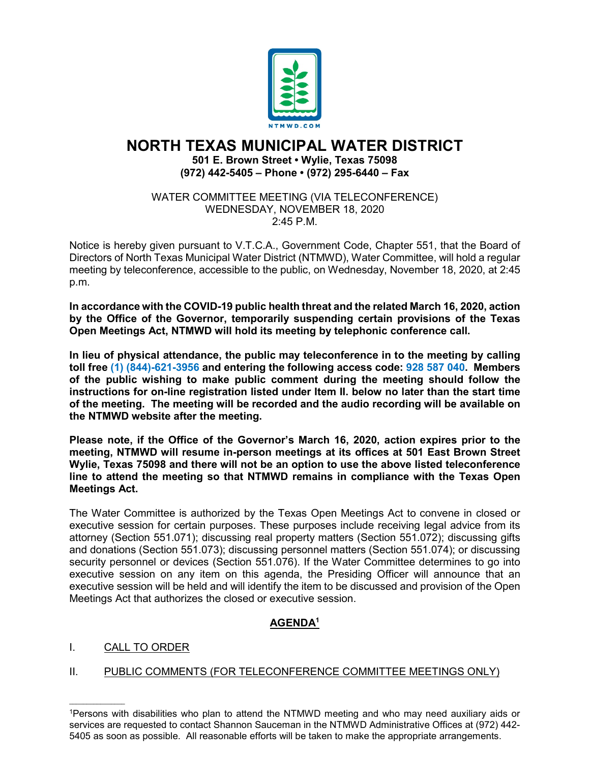

# **NORTH TEXAS MUNICIPAL WATER DISTRICT 501 E. Brown Street • Wylie, Texas 75098 (972) 442-5405 – Phone • (972) 295-6440 – Fax**

WATER COMMITTEE MEETING (VIA TELECONFERENCE) WEDNESDAY, NOVEMBER 18, 2020 2:45 P.M.

Notice is hereby given pursuant to V.T.C.A., Government Code, Chapter 551, that the Board of Directors of North Texas Municipal Water District (NTMWD), Water Committee, will hold a regular meeting by teleconference, accessible to the public, on Wednesday, November 18, 2020, at 2:45 p.m.

**In accordance with the COVID-19 public health threat and the related March 16, 2020, action by the Office of the Governor, temporarily suspending certain provisions of the Texas Open Meetings Act, NTMWD will hold its meeting by telephonic conference call.** 

**In lieu of physical attendance, the public may teleconference in to the meeting by calling toll free (1) (844)-621-3956 and entering the following access code: 928 587 040. Members of the public wishing to make public comment during the meeting should follow the instructions for on-line registration listed under Item II. below no later than the start time of the meeting. The meeting will be recorded and the audio recording will be available on the NTMWD website after the meeting.**

**Please note, if the Office of the Governor's March 16, 2020, action expires prior to the meeting, NTMWD will resume in-person meetings at its offices at 501 East Brown Street Wylie, Texas 75098 and there will not be an option to use the above listed teleconference line to attend the meeting so that NTMWD remains in compliance with the Texas Open Meetings Act.**

The Water Committee is authorized by the Texas Open Meetings Act to convene in closed or executive session for certain purposes. These purposes include receiving legal advice from its attorney (Section 551.071); discussing real property matters (Section 551.072); discussing gifts and donations (Section 551.073); discussing personnel matters (Section 551.074); or discussing security personnel or devices (Section 551.076). If the Water Committee determines to go into executive session on any item on this agenda, the Presiding Officer will announce that an executive session will be held and will identify the item to be discussed and provision of the Open Meetings Act that authorizes the closed or executive session.

## **AGENDA1**

### I. CALL TO ORDER

 $\mathcal{L}_\text{max}$  and  $\mathcal{L}_\text{max}$  and  $\mathcal{L}_\text{max}$ 

### II. PUBLIC COMMENTS (FOR TELECONFERENCE COMMITTEE MEETINGS ONLY)

<sup>1</sup>Persons with disabilities who plan to attend the NTMWD meeting and who may need auxiliary aids or services are requested to contact Shannon Sauceman in the NTMWD Administrative Offices at (972) 442- 5405 as soon as possible. All reasonable efforts will be taken to make the appropriate arrangements.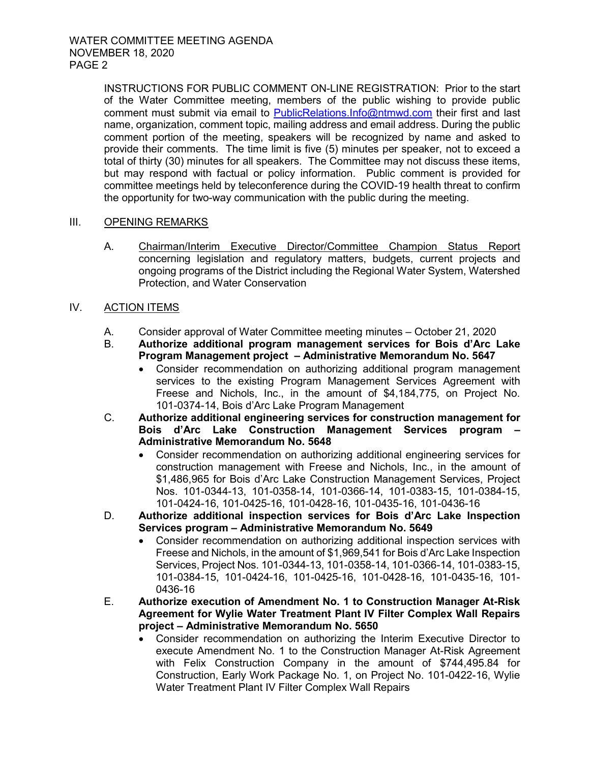INSTRUCTIONS FOR PUBLIC COMMENT ON-LINE REGISTRATION: Prior to the start of the Water Committee meeting, members of the public wishing to provide public comment must submit via email to [PublicRelations.Info@ntmwd.com](mailto:PublicRelations.Info@ntmwd.com) their first and last name, organization, comment topic, mailing address and email address. During the public comment portion of the meeting, speakers will be recognized by name and asked to provide their comments. The time limit is five (5) minutes per speaker, not to exceed a total of thirty (30) minutes for all speakers. The Committee may not discuss these items, but may respond with factual or policy information. Public comment is provided for committee meetings held by teleconference during the COVID-19 health threat to confirm the opportunity for two-way communication with the public during the meeting.

#### III. OPENING REMARKS

- A. Chairman/Interim Executive Director/Committee Champion Status Report concerning legislation and regulatory matters, budgets, current projects and ongoing programs of the District including the Regional Water System, Watershed Protection, and Water Conservation
- IV. ACTION ITEMS
	- A. Consider approval of Water Committee meeting minutes October 21, 2020
	- B. **Authorize additional program management services for Bois d'Arc Lake Program Management project – Administrative Memorandum No. 5647**
		- Consider recommendation on authorizing additional program management services to the existing Program Management Services Agreement with Freese and Nichols, Inc., in the amount of \$4,184,775, on Project No. 101-0374-14, Bois d'Arc Lake Program Management
	- C. **Authorize additional engineering services for construction management for Bois d'Arc Lake Construction Management Services program – Administrative Memorandum No. 5648**
		- Consider recommendation on authorizing additional engineering services for construction management with Freese and Nichols, Inc., in the amount of \$1,486,965 for Bois d'Arc Lake Construction Management Services, Project Nos. 101-0344-13, 101-0358-14, 101-0366-14, 101-0383-15, 101-0384-15, 101-0424-16, 101-0425-16, 101-0428-16, 101-0435-16, 101-0436-16
	- D. **Authorize additional inspection services for Bois d'Arc Lake Inspection Services program – Administrative Memorandum No. 5649**
		- Consider recommendation on authorizing additional inspection services with Freese and Nichols, in the amount of \$1,969,541 for Bois d'Arc Lake Inspection Services, Project Nos. 101-0344-13, 101-0358-14, 101-0366-14, 101-0383-15, 101-0384-15, 101-0424-16, 101-0425-16, 101-0428-16, 101-0435-16, 101- 0436-16
	- E. **Authorize execution of Amendment No. 1 to Construction Manager At-Risk Agreement for Wylie Water Treatment Plant IV Filter Complex Wall Repairs project – Administrative Memorandum No. 5650**
		- Consider recommendation on authorizing the Interim Executive Director to execute Amendment No. 1 to the Construction Manager At-Risk Agreement with Felix Construction Company in the amount of \$744,495.84 for Construction, Early Work Package No. 1, on Project No. 101-0422-16, Wylie Water Treatment Plant IV Filter Complex Wall Repairs